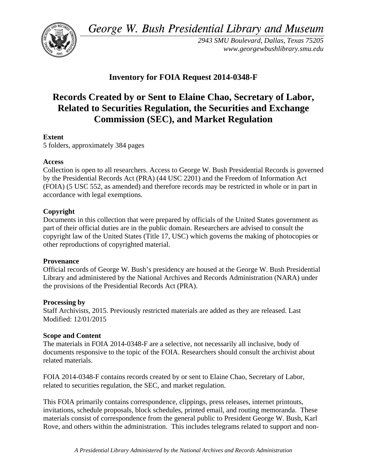*George W. Bush Presidential Library and Museum* 



*2943 SMU Boulevard, Dallas, Texas 75205 www.georgewbushlibrary.smu.edu* 

## **Inventory for FOIA Request 2014-0348-F**

# **Records Created by or Sent to Elaine Chao, Secretary of Labor, Related to Securities Regulation, the Securities and Exchange Commission (SEC), and Market Regulation**

### **Extent**

5 folders, approximately 384 pages

#### **Access**

Collection is open to all researchers. Access to George W. Bush Presidential Records is governed by the Presidential Records Act (PRA) (44 USC 2201) and the Freedom of Information Act (FOIA) (5 USC 552, as amended) and therefore records may be restricted in whole or in part in accordance with legal exemptions.

#### **Copyright**

Documents in this collection that were prepared by officials of the United States government as part of their official duties are in the public domain. Researchers are advised to consult the copyright law of the United States (Title 17, USC) which governs the making of photocopies or other reproductions of copyrighted material.

#### **Provenance**

Official records of George W. Bush's presidency are housed at the George W. Bush Presidential Library and administered by the National Archives and Records Administration (NARA) under the provisions of the Presidential Records Act (PRA).

#### **Processing by**

Staff Archivists, 2015. Previously restricted materials are added as they are released. Last Modified: 12/01/2015

#### **Scope and Content**

The materials in FOIA 2014-0348-F are a selective, not necessarily all inclusive, body of documents responsive to the topic of the FOIA. Researchers should consult the archivist about related materials.

FOIA 2014-0348-F contains records created by or sent to Elaine Chao, Secretary of Labor, related to securities regulation, the SEC, and market regulation.

This FOIA primarily contains correspondence, clippings, press releases, internet printouts, invitations, schedule proposals, block schedules, printed email, and routing memoranda. These materials consist of correspondence from the general public to President George W. Bush, Karl Rove, and others within the administration. This includes telegrams related to support and non